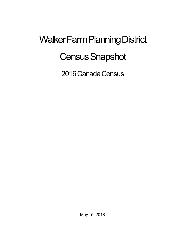## Walker Farm Planning District **Census Snapshot**

2016 Canada Census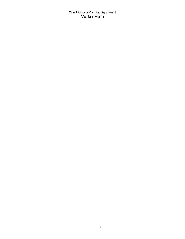City of Windsor Planning Department Walker Farm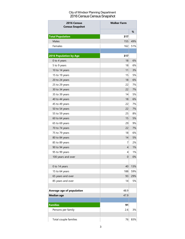## City of Windsor Planning Department 2016 Census Census Snapshot

| 2016 Census<br><b>Census Snapshot</b> | <b>Walker Farm</b> |     |
|---------------------------------------|--------------------|-----|
|                                       |                    | %   |
| <b>Total Population</b>               | 317                |     |
| Males                                 | 155                | 49% |
| Females                               | 162                | 51% |
|                                       |                    |     |
| 2016 Population by Age                | 317                |     |
| 0 to 4 years                          | 18                 | 6%  |
| 5 to 9 years                          | 18                 | 6%  |
| 10 to 14 years                        | 11                 | 3%  |
| 15 to 19 years                        | 15                 | 5%  |
| 20 to 24 years                        | 18                 | 6%  |
| 25 to 29 years                        | 22                 | 7%  |
| 30 to 34 years                        | 22                 | 7%  |
| 35 to 39 years                        | 14                 | 5%  |
| 40 to 44 years                        | 18                 | 6%  |
| 45 to 49 years                        | 22                 | 7%  |
| 50 to 54 years                        | 22                 | 7%  |
| 55 to 59 years                        | 25                 | 8%  |
| 60 to 64 years                        | 15                 | 5%  |
| 65 to 69 years                        | 29                 | 9%  |
| 70 to 74 years                        | 22                 | 7%  |
| 75 to 79 years                        | 18                 | 6%  |
| 80 to 84 years                        | 14                 | 5%  |
| 85 to 89 years                        | 7                  | 2%  |
| 90 to 94 years                        | $\overline{4}$     | 1%  |
| 95 to 99 years                        | 4                  | 1%  |
| 100 years and over                    | 0                  | 0%  |
|                                       |                    |     |
| 0 to 14 years                         | 40                 | 13% |
| 15 to 64 years                        | 188                | 59% |
| 65 years and over                     | 93                 | 29% |
| 85 years and over                     | 14                 | 5%  |
|                                       |                    |     |
| Average age of population             | 48.9               |     |
| <b>Median age</b>                     | 47.9               |     |
|                                       |                    |     |
| <b>Families</b>                       | 91                 |     |
| Persons per family                    | 2.6                | 3%  |
|                                       |                    |     |
| Total couple families                 | 76                 | 83% |